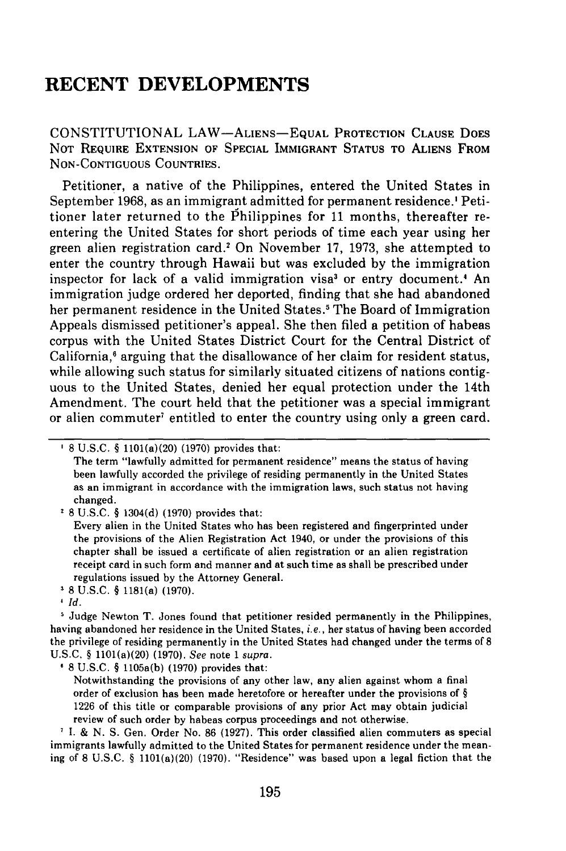## **RECENT DEVELOPMENTS**

**CONSTITUTIONAL** LAW-ALIENS- **EQUAL** PROTECTION CLAUSE **DOES NOT REQUIRE EXTENSION** OF **SPECIAL** IMMIGRANT **STATUS** TO ALIENS FROM **NON-CONTIGUOUS COUNTRIES.**

Petitioner, a native of the Philippines, entered the United States in September **1968,** as an immigrant admitted for permanent residence.' Petitioner later returned to the Philippines for 11 months, thereafter reentering the United States for short periods of time each year using her green alien registration card.' On November **17, 1973,** she attempted to enter the country through Hawaii but was excluded **by** the immigration inspector for lack of a valid immigration visa' or entry document.' An immigration judge ordered her deported, finding that she had abandoned her permanent residence in the United States.<sup>5</sup> The Board of Immigration Appeals dismissed petitioner's appeal. She then filed a petition of habeas corpus with the United States District Court for the Central District of California,<sup>6</sup> arguing that the disallowance of her claim for resident status, while allowing such status for similarly situated citizens of nations contiguous to the United States, denied her equal protection under the 14th Amendment. The court held that the petitioner was a special immigrant or alien commuter' entitled to enter the country using only a green card.

**<sup>2</sup>8 U.S.C.** § 1304(d) **(1970)** provides that:

**8 U.S.C.** § 1181(a) **(1970).**

8 U.S.C. § 1105a(b) **(1970)** provides that:

<sup>7</sup> I. & N. S. Gen. Order No. 86 (1927). This order classified alien commuters as special immigrants lawfully admitted to the United States for permanent residence under the meaning of 8 U.S.C. § 1101(a)(20) **(1970).** "Residence" was based upon a legal fiction that the

**<sup>8</sup> U.S.C.** § 1101(a)(20) **(1970)** provides that:

The term "lawfully admitted for permanent residence" means the status of having been lawfully accorded the privilege of residing permanently in the United States as an immigrant in accordance with the immigration laws, such status not having changed.

Every alien in the United States who has been registered and fingerprinted under the provisions of the Alien Registration Act 1940, or under the provisions of this chapter shall be issued a certificate of alien registration or an alien registration receipt card in such form and manner and at such time as shall be prescribed under regulations issued **by** the Attorney General.

*Id.*

<sup>&</sup>lt;sup>5</sup> Judge Newton T. Jones found that petitioner resided permanently in the Philippines, having abandoned her residence in the United States, *i.e.,* her status of having been accorded the privilege **of** residing permanently **in** the United States had changed under the terms of **8** U.S.C. § 1101(a)(20) (1970). *See* note 1 *supra.*

Notwithstanding the provisions of any other law, any alien against whom a final order of exclusion has been made heretofore or hereafter under the provisions of § 1226 of this title or comparable provisions of any prior Act may obtain judicial review of such order by habeas corpus proceedings and not otherwise.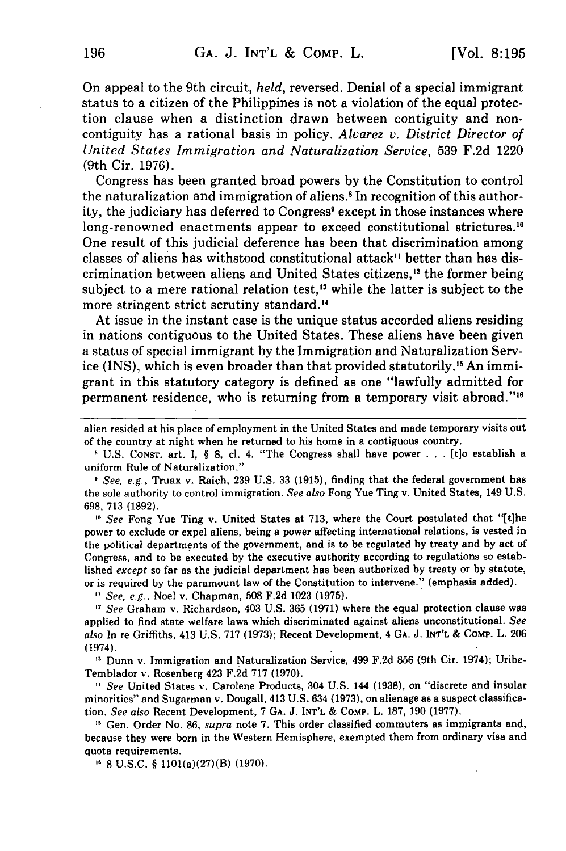On appeal to the 9th circuit, *held,* reversed. Denial of a special immigrant status to a citizen of the Philippines is not a violation of the equal protection clause when a distinction drawn between contiguity and noncontiguity has a rational basis in policy. *Alvarez v. District Director of United States Immigration and Naturalization Service,* 539 F.2d 1220 (9th Cir. 1976).

Congress has been granted broad powers by the Constitution to control the naturalization and immigration of aliens.' In recognition of this authority, the judiciary has deferred to Congress<sup>9</sup> except in those instances where long-renowned enactments appear to exceed constitutional strictures.<sup>10</sup> One result of this judicial deference has been that discrimination among classes of aliens has withstood constitutional attack" better than has discrimination between aliens and United States citizens, $\frac{1}{2}$  the former being subject to a mere rational relation test,<sup>13</sup> while the latter is subject to the more stringent strict scrutiny standard."

At issue in the instant case is the unique status accorded aliens residing in nations contiguous to the United States. These aliens have been given a status of special immigrant by the Immigration and Naturalization Service (INS), which is even broader than that provided statutorily.'" An immigrant in this statutory category is defined as one "lawfully admitted for permanent residence, who is returning from a temporary visit abroad."'"

*I See, e.g.,* Truax v. Raich, 239 U.S. 33 (1915), finding that the federal government has the sole authority to control immigration. *See also* Fong Yue Ting v. United States, 149 U.S. 698, 713 (1892).

<sup>10</sup> See Fong Yue Ting v. United States at 713, where the Court postulated that "[t]he power to exclude or expel aliens, being a power affecting international relations, is vested in the political departments of the government, and is to be regulated by treaty and by act of Congress, and to be executed by the executive authority according to regulations so established *except* so far as the judicial department has been authorized by treaty or by statute, or is required by the paramount law of the Constitution to intervene." (emphasis added).

*See, e.g.,* Noel v. Chapman, 508 F.2d 1023 (1975).

**<sup>2</sup>***See* Graham v. Richardson, 403 U.S. 365 (1971) where the equal protection clause was applied to find state welfare laws which discriminated against aliens unconstitutional. *See also* In re Griffiths, 413 U.S. 717 (1973); Recent Development, 4 **GA.** J. INT'L & **COMP.** L. 206 (1974).

<sup>13</sup> Dunn v. Immigration and Naturalization Service, 499 F.2d 856 (9th Cir. 1974); Uribe-Temblador v. Rosenberg 423 F.2d 717 (1970).

*" See* United States v. Carolene Products, 304 U.S. 144 (1938), on "discrete and insular minorities" and Sugarman v. Dougall, 413 U.S. 634 (1973), on alienage as a suspect classification. *See also* Recent Development, 7 **GA.** J. **INT'L** & COMp. L. 187, 190 (1977).

<sup>15</sup> Gen. Order No. 86, *supra* note 7. This order classified commuters as immigrants and, because they were born in the Western Hemisphere, exempted them from ordinary visa and quota requirements.

**"** 8 U.S.C. § 1101(a)(27)(B) (1970).

alien resided at his place of employment in the United States and made temporary visits out of the country at night when he returned to his home in a contiguous country.

U.S. CONST. art. I, § 8, cl. 4. "The Congress shall have power . **.** . [t]o establish a uniform Rule of Naturalization."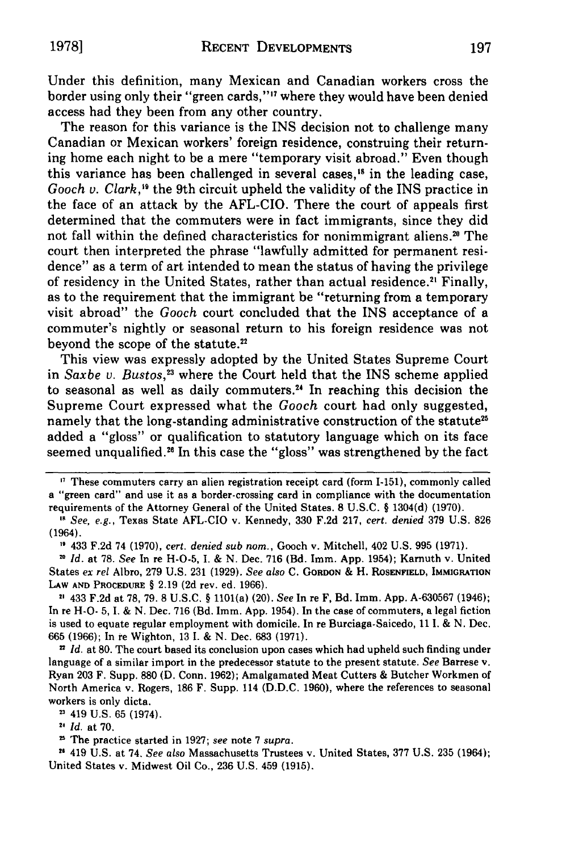Under this definition, many Mexican and Canadian workers cross the border using only their "green cards,"" where they would have been denied access had they been from any other country.

The reason for this variance is the INS decision not to challenge many Canadian or Mexican workers' foreign residence, construing their returning home each night to be a mere "temporary visit abroad." Even though this variance has been challenged in several cases,"8 in the leading case, *Gooch v. Clark*,<sup>19</sup> the 9th circuit upheld the validity of the INS practice in the face of an attack **by** the AFL-CIO. There the court of appeals first determined that the commuters were in fact immigrants, since they did not fall within the defined characteristics for nonimmigrant aliens.<sup>20</sup> The court then interpreted the phrase "lawfully admitted for permanent residence" as a term of art intended to mean the status of having the privilege of residency in the United States, rather than actual residence.<sup>21</sup> Finally, as to the requirement that the immigrant be "returning from a temporary visit abroad" the *Gooch* court concluded that the INS acceptance of a commuter's nightly or seasonal return to his foreign residence was not beyond the scope of the statute.<sup>22</sup>

This view was expressly adopted **by** the United States Supreme Court in *Saxbe v. Bustos,"3* where the Court held that the INS scheme applied to seasonal as well as daily commuters.<sup>24</sup> In reaching this decision the Supreme Court expressed what the Gooch court had only suggested, namely that the long-standing administrative construction of the statute<sup>21</sup> added a "gloss" or qualification to statutory language which on its face seemed unqualified.<sup>26</sup> In this case the "gloss" was strengthened by the fact

2 433 **F.2d** at **78, 79. 8 U.S.C. §** 1101(a) (20). *See* In re F, **Bd.** Imm. **App. A-630567** (1946); In re H-O- **5, I. & N.** Dec. **716** (Bd. Imm. **App.** 1954). In the case of commuters, a legal fiction is used to equate regular employment with domicile. In re Burciaga-Saicedo, **11 I. & N.** Dec. **665 (1966);** In **re** Wighton, **13 I. & N.** Dec. **683 (1971).**

*" Id.* at **80.** The court based its conclusion upon cases which had upheld such finding under language of a similar import in the predecessor statute to the present statute. *See* Barrese v. Ryan **203** F. Supp. **880 (D.** Conn. **1962);** Amalgamated Meat Cutters **&** Butcher Workmen of North America v. Rogers, **186** F. Supp. 114 **(D.D.C. 1960),** where the references to seasonal workers is only dicta.

**23** 419 **U.S. 65** (1974).

*1, Id.* at **70.**

2 The practice started in **1927;** *see* note **7** *supra.*

**"** 419 **U.S.** at 74. *See also* Massachusetts Trustees v. United States, **377 U.S. 235** (1964); United States v. Midwest Oil Co., **236 U.S.** 459 **(1915).**

**<sup>&#</sup>x27;1** These commuters carry an alien registration receipt card (form 1-151), commonly called a "green card" and use it as a border-crossing card in compliance with the documentation requirements of the Attorney General of the United States. **8 U.S.C. §** 1304(d) **(1970).**

**<sup>&</sup>quot;** *See, e.g.,* Texas State AFL-CIO v. Kennedy, **330 F.2d 217,** *cert. denied* **379 U.S. 826** (1964).

**<sup>&</sup>quot;** 433 **F.2d** 74 **(1970),** *cert. denied sub nor.,* Gooch v. Mitchell, 402 **U.S. 995 (1971).**

*Id.* at **78.** *See* In re **H-O-5, I. & N.** Dec. **716** (Bd. Imm. **App.** 1954); Karnuth v. United States *ex rel* Albro, **279 U.S. 231 (1929).** *See also* **C. GORDON &** H. **ROSENFIELD, IMMIGRATION LAW AND PROCEDURE § 2.19 (2d** rev. ed. **1966).**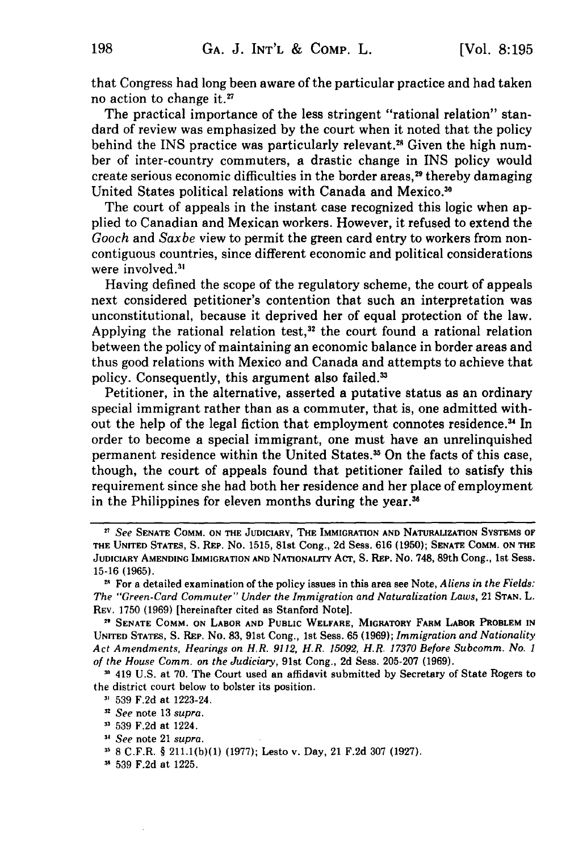that Congress had long been aware of the particular practice and had taken no action to change it.<sup>27</sup>

The practical importance of the less stringent "rational relation" standard of review was emphasized by the court when it noted that the policy behind the INS practice was particularly relevant.<sup>28</sup> Given the high number of inter-country commuters, a drastic change in INS policy would create serious economic difficulties in the border areas, 29 thereby damaging United States political relations with Canada and Mexico.<sup>30</sup>

The court of appeals in the instant case recognized this logic when applied to Canadian and Mexican workers. However, it refused to extend the *Gooch* and *Saxbe* view to permit the green card entry to workers from noncontiguous countries, since different economic and political considerations were involved.<sup>31</sup>

Having defined the scope of the regulatory scheme, the court of appeals next considered petitioner's contention that such an interpretation was unconstitutional, because it deprived her of equal protection of the law. Applying the rational relation test, $32$  the court found a rational relation between the policy of maintaining an economic balance in border areas and thus good relations with Mexico and Canada and attempts to achieve that policy. Consequently, this argument also failed.<sup>33</sup>

Petitioner, in the alternative, asserted a putative status as an ordinary special immigrant rather than as a commuter, that is, one admitted without the help of the legal fiction that employment connotes residence.<sup>34</sup> In order to become a special immigrant, one must have an unrelinquished permanent residence within the United States.<sup>35</sup> On the facts of this case, though, the court of appeals found that petitioner failed to satisfy this requirement since she had both her residence and her place of employment in the Philippines for eleven months during the year.<sup>36</sup>

**'** 419 **U.S.** at **70.** The Court used an affidavit submitted **by** Secretary of State Rogers to the district court below to bolster its position.

*<sup>27</sup>See* **SENATE COMM. ON THE JUDICIARY, THE IMMIGRATION AND NATURALIZATION SYSTEMS OF THE UNITED STATES, S.** REP. No. 1515, 81st Cong., **2d** Sess. **616 (1950); SENATE COMM. ON THE JUDICIARY AMENDING IMMIGRATION AND NATIONALITY** ACT, **S. REP.** No. 748, 89th Cong., **1st Sess. 15-16 (1965).**

**<sup>&</sup>quot;** For a detailed examination of the policy issues in this area see Note, *A liens in the Fields: The "Green-Card Commuter" Under the Immigration and Naturalization Laws,* 21 **STAN.** L. REv. **1750 (1969)** [hereinafter cited as Stanford Note].

**<sup>2</sup> SENATE COMM. ON LABOR AND PUBLIC WELFARE, MIGRATORY FARM LABOR PROBLEM IN UNITED STATES, S. REP.** No. **83,** 91st Cong., **1st** Sess. 65 **(1969);** *Immigration and Nationality Act Amendments, Hearings on H.R. 9112, H.R. 15092, H.R. 17370 Before Subcomm. No. 1 of the House Comm. on the Judiciary,* 91st Cong., **2d** Sess. **205-207 (1969).**

**<sup>3&#</sup>x27; 539 F.2d** at 1223-24.

*<sup>.2</sup> See* note **13** *supra.*

**<sup>539</sup> F.2d** at 1224.

*<sup>,</sup> See* note 21 *supra.*

**<sup>3. 8</sup>** C.F.R. **§ 211.1(b)(1) (1977);** Lesto v. Day, 21 **F.2d 307 (1927).**

**<sup>-&</sup>quot; 539 F.2d** at **1225.**